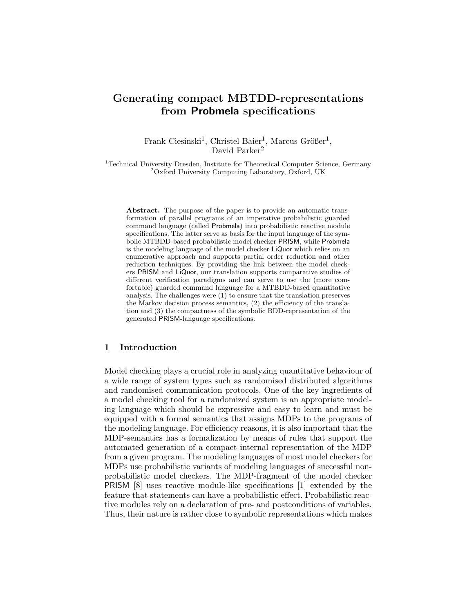# Generating compact MBTDD-representations from Probmela specifications

Frank Ciesinski<sup>1</sup>, Christel Baier<sup>1</sup>, Marcus Größer<sup>1</sup>, David Parker<sup>2</sup>

<sup>1</sup>Technical University Dresden, Institute for Theoretical Computer Science, Germany <sup>2</sup>Oxford University Computing Laboratory, Oxford, UK

Abstract. The purpose of the paper is to provide an automatic transformation of parallel programs of an imperative probabilistic guarded command language (called Probmela) into probabilistic reactive module specifications. The latter serve as basis for the input language of the symbolic MTBDD-based probabilistic model checker PRISM, while Probmela is the modeling language of the model checker LiQuor which relies on an enumerative approach and supports partial order reduction and other reduction techniques. By providing the link between the model checkers PRISM and LiQuor, our translation supports comparative studies of different verification paradigms and can serve to use the (more comfortable) guarded command language for a MTBDD-based quantitative analysis. The challenges were (1) to ensure that the translation preserves the Markov decision process semantics, (2) the efficiency of the translation and (3) the compactness of the symbolic BDD-representation of the generated PRISM-language specifications.

## 1 Introduction

Model checking plays a crucial role in analyzing quantitative behaviour of a wide range of system types such as randomised distributed algorithms and randomised communication protocols. One of the key ingredients of a model checking tool for a randomized system is an appropriate modeling language which should be expressive and easy to learn and must be equipped with a formal semantics that assigns MDPs to the programs of the modeling language. For efficiency reasons, it is also important that the MDP-semantics has a formalization by means of rules that support the automated generation of a compact internal representation of the MDP from a given program. The modeling languages of most model checkers for MDPs use probabilistic variants of modeling languages of successful nonprobabilistic model checkers. The MDP-fragment of the model checker PRISM [8] uses reactive module-like specifications [1] extended by the feature that statements can have a probabilistic effect. Probabilistic reactive modules rely on a declaration of pre- and postconditions of variables. Thus, their nature is rather close to symbolic representations which makes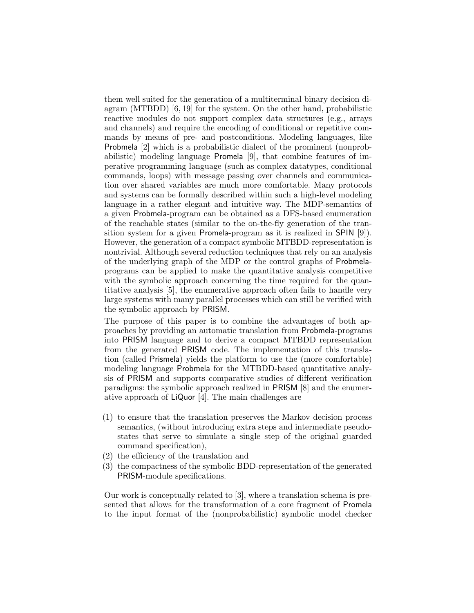them well suited for the generation of a multiterminal binary decision diagram (MTBDD) [6, 19] for the system. On the other hand, probabilistic reactive modules do not support complex data structures (e.g., arrays and channels) and require the encoding of conditional or repetitive commands by means of pre- and postconditions. Modeling languages, like Probmela [2] which is a probabilistic dialect of the prominent (nonprobabilistic) modeling language Promela [9], that combine features of imperative programming language (such as complex datatypes, conditional commands, loops) with message passing over channels and communication over shared variables are much more comfortable. Many protocols and systems can be formally described within such a high-level modeling language in a rather elegant and intuitive way. The MDP-semantics of a given Probmela-program can be obtained as a DFS-based enumeration of the reachable states (similar to the on-the-fly generation of the transition system for a given Promela-program as it is realized in SPIN [9]). However, the generation of a compact symbolic MTBDD-representation is nontrivial. Although several reduction techniques that rely on an analysis of the underlying graph of the MDP or the control graphs of Probmelaprograms can be applied to make the quantitative analysis competitive with the symbolic approach concerning the time required for the quantitative analysis [5], the enumerative approach often fails to handle very large systems with many parallel processes which can still be verified with the symbolic approach by PRISM.

The purpose of this paper is to combine the advantages of both approaches by providing an automatic translation from Probmela-programs into PRISM language and to derive a compact MTBDD representation from the generated PRISM code. The implementation of this translation (called Prismela) yields the platform to use the (more comfortable) modeling language Probmela for the MTBDD-based quantitative analysis of PRISM and supports comparative studies of different verification paradigms: the symbolic approach realized in PRISM [8] and the enumerative approach of LiQuor [4]. The main challenges are

- (1) to ensure that the translation preserves the Markov decision process semantics, (without introducing extra steps and intermediate pseudostates that serve to simulate a single step of the original guarded command specification),
- (2) the efficiency of the translation and
- (3) the compactness of the symbolic BDD-representation of the generated PRISM-module specifications.

Our work is conceptually related to [3], where a translation schema is presented that allows for the transformation of a core fragment of Promela to the input format of the (nonprobabilistic) symbolic model checker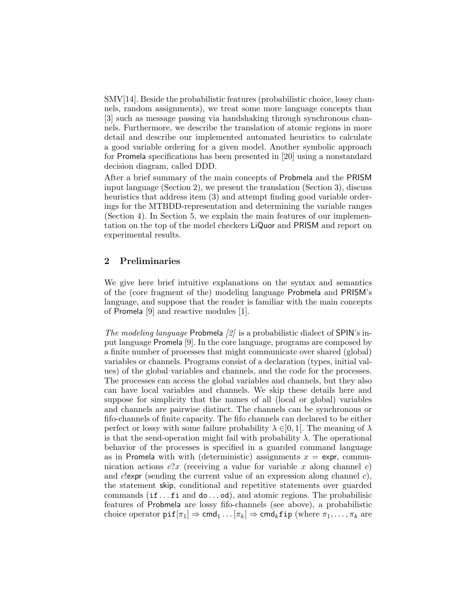SMV[14]. Beside the probabilistic features (probabilistic choice, lossy channels, random assignments), we treat some more language concepts than [3] such as message passing via handshaking through synchronous channels. Furthermore, we describe the translation of atomic regions in more detail and describe our implemented automated heuristics to calculate a good variable ordering for a given model. Another symbolic approach for Promela specifications has been presented in [20] using a nonstandard decision diagram, called DDD.

After a brief summary of the main concepts of Probmela and the PRISM input language (Section 2), we present the translation (Section 3), discuss heuristics that address item (3) and attempt finding good variable orderings for the MTBDD-representation and determining the variable ranges (Section 4). In Section 5, we explain the main features of our implementation on the top of the model checkers LiQuor and PRISM and report on experimental results.

# 2 Preliminaries

We give here brief intuitive explanations on the syntax and semantics of the (core fragment of the) modeling language Probmela and PRISM's language, and suppose that the reader is familiar with the main concepts of Promela [9] and reactive modules [1].

The modeling language Probmela  $[2]$  is a probabilistic dialect of SPIN's input language Promela [9]. In the core language, programs are composed by a finite number of processes that might communicate over shared (global) variables or channels. Programs consist of a declaration (types, initial values) of the global variables and channels, and the code for the processes. The processes can access the global variables and channels, but they also can have local variables and channels. We skip these details here and suppose for simplicity that the names of all (local or global) variables and channels are pairwise distinct. The channels can be synchronous or fifo-channels of finite capacity. The fifo channels can declared to be either perfect or lossy with some failure probability  $\lambda \in ]0,1[$ . The meaning of  $\lambda$ is that the send-operation might fail with probability  $\lambda$ . The operational behavior of the processes is specified in a guarded command language as in Promela with with (deterministic) assignments  $x = \epsilon x$  communication actions  $c$ ?x (receiving a value for variable x along channel c) and clexpr (sending the current value of an expression along channel  $c$ ), the statement skip, conditional and repetitive statements over guarded commands  $(i \cdot f \dots f i$  and  $d \circ \dots \circ d$ , and atomic regions. The probabilisic features of Probmela are lossy fifo-channels (see above), a probabilistic choice operator  $\text{pir}[\pi_1] \Rightarrow \text{cmd}_1 \dots [\pi_k] \Rightarrow \text{cmd}_k \text{flip}$  (where  $\pi_1, \dots, \pi_k$  are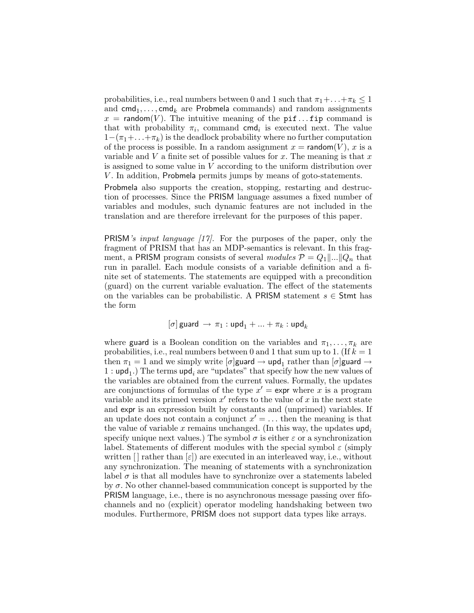probabilities, i.e., real numbers between 0 and 1 such that  $\pi_1 + \ldots + \pi_k \leq 1$ and  $cmd_1, \ldots, cmd_k$  are Probmela commands) and random assignments  $x = \text{random}(V)$ . The intuitive meaning of the pif... fip command is that with probability  $\pi_i$ , command cmd<sub>i</sub> is executed next. The value  $1-(\pi_1+\ldots+\pi_k)$  is the deadlock probability where no further computation of the process is possible. In a random assignment  $x = \text{random}(V)$ , x is a variable and V a finite set of possible values for x. The meaning is that  $x$ is assigned to some value in V according to the uniform distribution over V. In addition, Probmela permits jumps by means of goto-statements.

Probmela also supports the creation, stopping, restarting and destruction of processes. Since the PRISM language assumes a fixed number of variables and modules, such dynamic features are not included in the translation and are therefore irrelevant for the purposes of this paper.

**PRISM**'s input language  $\left[17\right]$ . For the purposes of the paper, only the fragment of PRISM that has an MDP-semantics is relevant. In this fragment, a PRISM program consists of several modules  $\mathcal{P} = Q_1 ||...||Q_n$  that run in parallel. Each module consists of a variable definition and a finite set of statements. The statements are equipped with a precondition (guard) on the current variable evaluation. The effect of the statements on the variables can be probabilistic. A PRISM statement  $s \in$  Stmt has the form

$$
[\sigma] \, \text{guard} \, \rightarrow \, \pi_1 : \text{upd}_1 + ... + \pi_k : \text{upd}_k
$$

where guard is a Boolean condition on the variables and  $\pi_1, \ldots, \pi_k$  are probabilities, i.e., real numbers between 0 and 1 that sum up to 1. (If  $k = 1$ ) then  $\pi_1 = 1$  and we simply write  $[\sigma]$ guard  $\rightarrow$  upd<sub>1</sub> rather than  $[\sigma]$ guard  $\rightarrow$  $1:$  upd<sub>1</sub>.) The terms  $\text{upd}_i$  are "updates" that specify how the new values of the variables are obtained from the current values. Formally, the updates are conjunctions of formulas of the type  $x' = e^{i\pi}$  where x is a program variable and its primed version  $x'$  refers to the value of x in the next state and expr is an expression built by constants and (unprimed) variables. If an update does not contain a conjunct  $x' = \ldots$  then the meaning is that the value of variable x remains unchanged. (In this way, the updates  $\mathsf{upd}_i$ specify unique next values.) The symbol  $\sigma$  is either  $\varepsilon$  or a synchronization label. Statements of different modules with the special symbol  $\varepsilon$  (simply written  $[ \ ]$  rather than  $[\varepsilon]$  are executed in an interleaved way, i.e., without any synchronization. The meaning of statements with a synchronization label  $\sigma$  is that all modules have to synchronize over a statements labeled by  $\sigma$ . No other channel-based communication concept is supported by the PRISM language, i.e., there is no asynchronous message passing over fifochannels and no (explicit) operator modeling handshaking between two modules. Furthermore, PRISM does not support data types like arrays.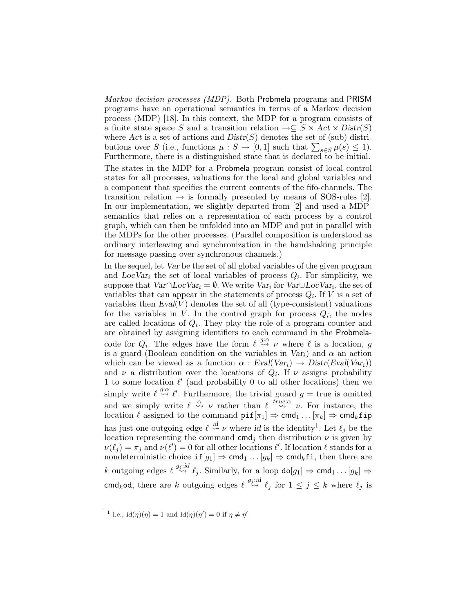Markov decision processes (MDP). Both Probmela programs and PRISM programs have an operational semantics in terms of a Markov decision process (MDP) [18]. In this context, the MDP for a program consists of a finite state space S and a transition relation  $\rightarrow \subseteq S \times Act \times Dist(S)$ where Act is a set of actions and  $Distr(S)$  denotes the set of (sub) distributions over S (i.e., functions  $\mu : S \to [0,1]$  such that  $\sum_{s \in S} \mu(s) \leq 1$ ). Furthermore, there is a distinguished state that is declared to be initial.

The states in the MDP for a Probmela program consist of local control states for all processes, valuations for the local and global variables and a component that specifies the current contents of the fifo-channels. The transition relation  $\rightarrow$  is formally presented by means of SOS-rules [2]. In our implementation, we slightly departed from [2] and used a MDPsemantics that relies on a representation of each process by a control graph, which can then be unfolded into an MDP and put in parallel with the MDPs for the other processes. (Parallel composition is understood as ordinary interleaving and synchronization in the handshaking principle for message passing over synchronous channels.)

In the sequel, let Var be the set of all global variables of the given program and  $LocVar_i$  the set of local variables of process  $Q_i$ . For simplicity, we suppose that  $Var \cap LocVar_i = \emptyset$ . We write  $Var_i$  for  $Var \cup LocVar_i$ , the set of variables that can appear in the statements of process  $Q_i$ . If V is a set of variables then  $Eval(V)$  denotes the set of all (type-consistent) valuations for the variables in V. In the control graph for process  $Q_i$ , the nodes are called locations of  $Q_i$ . They play the role of a program counter and are obtained by assigning identifiers to each command in the Probmelacode for  $Q_i$ . The edges have the form  $\ell \stackrel{g:\alpha}{\leadsto} \nu$  where  $\ell$  is a location, g is a guard (Boolean condition on the variables in  $Var_i$ ) and  $\alpha$  an action which can be viewed as a function  $\alpha$ : Eval(Var<sub>i</sub>)  $\rightarrow$  Distr(Eval(Var<sub>i</sub>)) and  $\nu$  a distribution over the locations of  $Q_i$ . If  $\nu$  assigns probability 1 to some location  $\ell'$  (and probability 0 to all other locations) then we simply write  $\ell \stackrel{g:\alpha}{\leadsto} \ell'$ . Furthermore, the trivial guard  $g = \text{true}$  is omitted and we simply write  $\ell \stackrel{\alpha}{\leadsto} \nu$  rather than  $\ell \stackrel{true:\alpha}{\leadsto} \nu$ . For instance, the location  $\ell$  assigned to the command  $\text{pif}[\pi_1] \Rightarrow \text{cmd}_1 \dots [\pi_k] \Rightarrow \text{cmd}_k$ fip has just one outgoing edge  $\ell \stackrel{id}{\leadsto} \nu$  where *id* is the identity<sup>1</sup>. Let  $\ell_j$  be the location representing the command cmd<sub>j</sub> then distribution  $\nu$  is given by  $\nu(\ell_j) = \pi_j$  and  $\nu(\ell') = 0$  for all other locations  $\ell'$ . If location  $\ell$  stands for a nondeterministic choice  $if[g_1] \Rightarrow cmd_1 \dots [g_k] \Rightarrow cmd_kfi$ , then there are k outgoing edges  $\ell \stackrel{g_j : \text{id}}{\leadsto} \ell_j$ . Similarly, for a loop  $\text{do}[g_1] \Rightarrow \text{cmd}_1 \dots [g_k] \Rightarrow$ cmd<sub>k</sub>od, there are k outgoing edges  $\ell \stackrel{g_j : id}{\leadsto} \ell_j$  for  $1 \leq j \leq k$  where  $\ell_j$  is

<sup>&</sup>lt;sup>1</sup> i.e.,  $id(\eta)(\eta) = 1$  and  $id(\eta)(\eta') = 0$  if  $\eta \neq \eta'$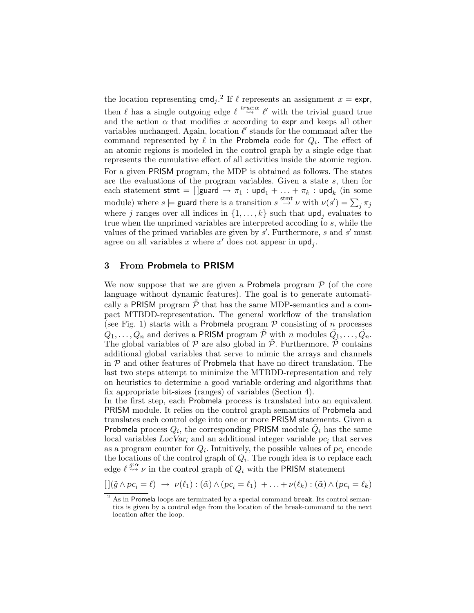the location representing cmd<sub>j</sub>.<sup>2</sup> If  $\ell$  represents an assignment  $x = \exp r$ , then  $\ell$  has a single outgoing edge  $\ell \stackrel{true:\alpha}{\leadsto} \ell'$  with the trivial guard true and the action  $\alpha$  that modifies x according to expr and keeps all other variables unchanged. Again, location  $\ell'$  stands for the command after the command represented by  $\ell$  in the Probmela code for  $Q_i$ . The effect of an atomic regions is modeled in the control graph by a single edge that represents the cumulative effect of all activities inside the atomic region. For a given PRISM program, the MDP is obtained as follows. The states are the evaluations of the program variables. Given a state s, then for each statement stmt = []guard  $\rightarrow \pi_1 : \mathsf{upd}_1 + \ldots + \pi_k : \mathsf{upd}_k$  (in some module) where  $s \models$  guard there is a transition  $s \stackrel{\text{stmt}}{\rightarrow} \nu$  with  $\nu(s') = \sum_j \pi_j$ where j ranges over all indices in  $\{1, \ldots, k\}$  such that  $\mathsf{upd}_j$  evaluates to true when the unprimed variables are interpreted accoding to  $s$ , while the values of the primed variables are given by  $s'$ . Furthermore, s and s' must agree on all variables x where  $x'$  does not appear in  $\mathsf{upd}_j$ .

#### 3 From Probmela to PRISM

We now suppose that we are given a Probinda program  $P$  (of the core language without dynamic features). The goal is to generate automatically a PRISM program  $\overline{P}$  that has the same MDP-semantics and a compact MTBDD-representation. The general workflow of the translation (see Fig. 1) starts with a Probmela program  $P$  consisting of n processes  $Q_1, \ldots, Q_n$  and derives a PRISM program  $\tilde{P}$  with n modules  $\tilde{Q_1}, \ldots, \tilde{Q_n}$ . The global variables of  $P$  are also global in  $\tilde{P}$ . Furthermore,  $\tilde{P}$  contains additional global variables that serve to mimic the arrays and channels in  $\mathcal P$  and other features of Probmela that have no direct translation. The last two steps attempt to minimize the MTBDD-representation and rely on heuristics to determine a good variable ordering and algorithms that fix appropriate bit-sizes (ranges) of variables (Section 4).

In the first step, each Probmela process is translated into an equivalent PRISM module. It relies on the control graph semantics of Probmela and translates each control edge into one or more PRISM statements. Given a Probmela process  $Q_i$ , the corresponding PRISM module  $\tilde{Q}_i$  has the same local variables  $LocVar_i$  and an additional integer variable  $pc_i$  that serves as a program counter for  $Q_i$ . Intuitively, the possible values of  $pc_i$  encode the locations of the control graph of  $Q_i$ . The rough idea is to replace each edge  $\ell \stackrel{g:\alpha}{\leadsto} \nu$  in the control graph of  $Q_i$  with the PRISM statement

$$
[](\tilde{g} \wedge pc_i = \ell) \rightarrow \nu(\ell_1) : (\tilde{\alpha}) \wedge (pc_i = \ell_1) + \ldots + \nu(\ell_k) : (\tilde{\alpha}) \wedge (pc_i = \ell_k)
$$

<sup>&</sup>lt;sup>2</sup> As in Promela loops are terminated by a special command break. Its control semantics is given by a control edge from the location of the break-command to the next location after the loop.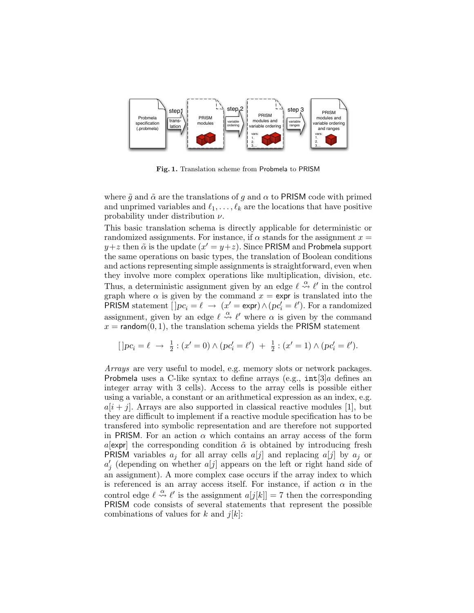

Fig. 1. Translation scheme from Probmela to PRISM

where  $\tilde{g}$  and  $\tilde{\alpha}$  are the translations of g and  $\alpha$  to PRISM code with primed and unprimed variables and  $\ell_1, \ldots, \ell_k$  are the locations that have positive probability under distribution  $\nu$ .

This basic translation schema is directly applicable for deterministic or randomized assignments. For instance, if  $\alpha$  stands for the assignment  $x =$  $y+z$  then  $\tilde{\alpha}$  is the update  $(x'=y+z)$ . Since PRISM and Probmela support the same operations on basic types, the translation of Boolean conditions and actions representing simple assignments is straightforward, even when they involve more complex operations like multiplication, division, etc. Thus, a deterministic assignment given by an edge  $\ell \stackrel{\alpha}{\leadsto} \ell'$  in the control graph where  $\alpha$  is given by the command  $x = \exp r$  is translated into the **PRISM** statement  $[$   $]pc_i = \ell \rightarrow (x' = \exp r) \wedge (pc'_i = \ell')$ . For a randomized assignment, given by an edge  $\ell \stackrel{\alpha}{\leadsto} \ell'$  where  $\alpha$  is given by the command  $x = \text{random}(0, 1)$ , the translation schema yields the PRISM statement

$$
[|pc_i = \ell \rightarrow \frac{1}{2} : (x'=0) \land (pc'_i = \ell') + \frac{1}{2} : (x'=1) \land (pc'_i = \ell').
$$

Arrays are very useful to model, e.g. memory slots or network packages. Probmela uses a C-like syntax to define arrays (e.g.,  $int[3]a$  defines an integer array with 3 cells). Access to the array cells is possible either using a variable, a constant or an arithmetical expression as an index, e.g.  $a[i + j]$ . Arrays are also supported in classical reactive modules [1], but they are difficult to implement if a reactive module specification has to be transfered into symbolic representation and are therefore not supported in PRISM. For an action  $\alpha$  which contains an array access of the form a[expr] the corresponding condition  $\tilde{\alpha}$  is obtained by introducing fresh **PRISM** variables  $a_j$  for all array cells  $a[j]$  and replacing  $a[j]$  by  $a_j$  or  $a'_{j}$  (depending on whether  $a[j]$  appears on the left or right hand side of an assignment). A more complex case occurs if the array index to which is referenced is an array access itself. For instance, if action  $\alpha$  in the control edge  $\ell \stackrel{\alpha}{\leadsto} \ell'$  is the assignment  $a[j[k]] = 7$  then the corresponding PRISM code consists of several statements that represent the possible combinations of values for k and  $j[k]$ :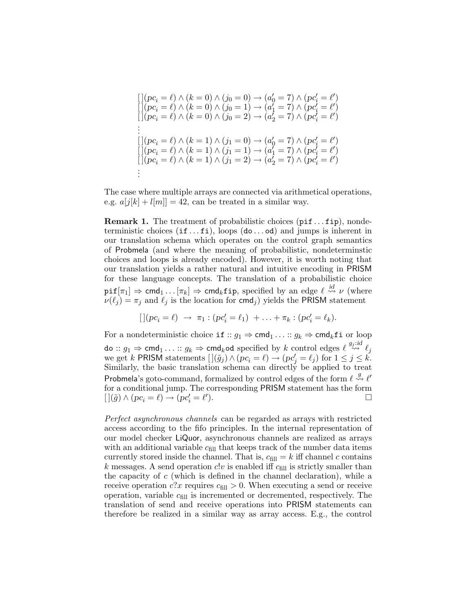$$
[](pc_i = \ell) \wedge (k = 0) \wedge (j_0 = 0) \rightarrow (a'_0 = 7) \wedge (pc'_i = \ell')
$$
  
\n
$$
[](pc_i = \ell) \wedge (k = 0) \wedge (j_0 = 1) \rightarrow (a'_1 = 7) \wedge (pc'_i = \ell')
$$
  
\n
$$
[](pc_i = \ell) \wedge (k = 0) \wedge (j_0 = 2) \rightarrow (a'_2 = 7) \wedge (pc'_i = \ell')
$$
  
\n
$$
[](pc_i = \ell) \wedge (k = 1) \wedge (j_1 = 0) \rightarrow (a'_0 = 7) \wedge (pc'_i = \ell')
$$
  
\n
$$
[](pc_i = \ell) \wedge (k = 1) \wedge (j_1 = 1) \rightarrow (a'_1 = 7) \wedge (pc'_i = \ell')
$$
  
\n
$$
[](pc_i = \ell) \wedge (k = 1) \wedge (j_1 = 2) \rightarrow (a'_2 = 7) \wedge (pc'_i = \ell')
$$
  
\n
$$
\vdots
$$

The case where multiple arrays are connected via arithmetical operations, e.g.  $a[j[k] + l[m]] = 42$ , can be treated in a similar way.

Remark 1. The treatment of probabilistic choices (pif . . . fip), nondeterministic choices  $(i \texttt{f} \dots \texttt{f} i)$ , loops  $(d \texttt{o} \dots \texttt{o} d)$  and jumps is inherent in our translation schema which operates on the control graph semantics of Probmela (and where the meaning of probabilistic, nondeterminstic choices and loops is already encoded). However, it is worth noting that our translation yields a rather natural and intuitive encoding in PRISM for these language concepts. The translation of a probabilistic choice  $\texttt{pif}[\pi_1] \Rightarrow \textsf{cmd}_1 \ldots [\pi_k] \Rightarrow \textsf{cmd}_k \texttt{flip}, \text{specified by an edge } \ell \stackrel{id}{\rightsquigarrow} \nu \text{ (where }$  $\nu(\ell_j) = \pi_j$  and  $\ell_j$  is the location for cmd<sub>j</sub>) yields the PRISM statement

$$
[](pc_i = \ell) \rightarrow \pi_1 : (pc'_i = \ell_1) + \ldots + \pi_k : (pc'_i = \ell_k).
$$

For a nondeterministic choice if  $:: g_1 \Rightarrow \text{cmd}_1 \dots :: g_k \Rightarrow \text{cmd}_k$ fi or loop do ::  $g_1 \Rightarrow$  cmd $_1 \ldots$  ::  $g_k \Rightarrow$  cmd $_k$ od specified by  $k$  control edges  $\ell \stackrel{g_j:\mathrm{id}}{\leadsto} \ell_j$ we get k PRISM statements  $[](\tilde{g}_j) \wedge (pc_i = \ell) \rightarrow (pc'_j = \ell_j)$  for  $1 \leq j \leq k$ . Similarly, the basic translation schema can directly be applied to treat Probmela's goto-command, formalized by control edges of the form  $\ell \stackrel{g}{\leadsto} \ell'$ for a conditional jump. The corresponding PRISM statement has the form  $[](\tilde{g}) \wedge (pc_i = \ell) \rightarrow (pc'_i = \ell')$ ). The contract of  $\Box$ 

Perfect asynchronous channels can be regarded as arrays with restricted access according to the fifo principles. In the internal representation of our model checker LiQuor, asynchronous channels are realized as arrays with an additional variable  $c_{\text{fill}}$  that keeps track of the number data items currently stored inside the channel. That is,  $c_{\text{fill}} = k$  iff channel c contains k messages. A send operation  $c!v$  is enabled iff  $c_{\text{fill}}$  is strictly smaller than the capacity of  $c$  (which is defined in the channel declaration), while a receive operation  $c$ ?x requires  $c_{\text{fill}} > 0$ . When executing a send or receive operation, variable  $c_{\text{fill}}$  is incremented or decremented, respectively. The translation of send and receive operations into PRISM statements can therefore be realized in a similar way as array access. E.g., the control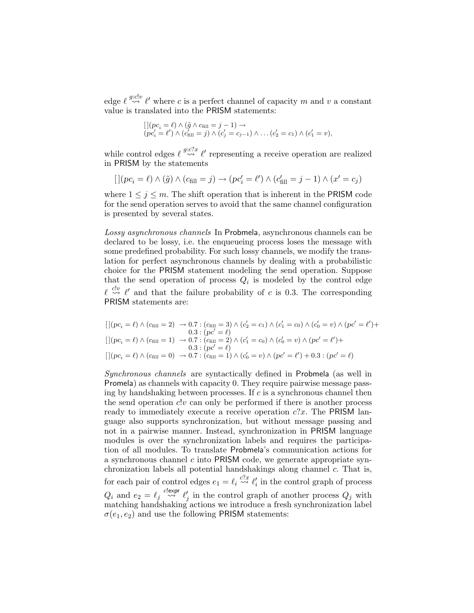edge  $\ell \stackrel{g:clv}{\leadsto} \ell'$  where c is a perfect channel of capacity m and v a constant value is translated into the PRISM statements:

$$
\begin{array}{l} [](pc_i = \ell) \wedge (\tilde{g} \wedge c_{\text{fill}} = j - 1) \rightarrow \\ (pc'_i = \ell') \wedge (c'_{\text{fill}} = j) \wedge (c'_j = c_{j-1}) \wedge \ldots (c'_2 = c_1) \wedge (c'_1 = v), \end{array}
$$

while control edges  $\ell \stackrel{g: c?x}{\leadsto} \ell'$  representing a receive operation are realized in PRISM by the statements

$$
[](pc_i = \ell) \land (\tilde{g}) \land (c_{\text{fill}} = j) \rightarrow (pc'_i = \ell') \land (c'_{\text{fill}} = j - 1) \land (x' = c_j)
$$

where  $1 \leq j \leq m$ . The shift operation that is inherent in the PRISM code for the send operation serves to avoid that the same channel configuration is presented by several states.

Lossy asynchronous channels In Probmela, asynchronous channels can be declared to be lossy, i.e. the enqueueing process loses the message with some predefined probability. For such lossy channels, we modify the translation for perfect asynchronous channels by dealing with a probabilistic choice for the PRISM statement modeling the send operation. Suppose that the send operation of process  $Q_i$  is modeled by the control edge  $\ell \stackrel{clv}{\leadsto} \ell'$  and that the failure probability of c is 0.3. The corresponding PRISM statements are:

$$
[|(pc_i = \ell) \land (c_{\text{fill}} = 2) \rightarrow 0.7 : (c_{\text{fill}} = 3) \land (c'_2 = c_1) \land (c'_1 = c_0) \land (c'_0 = v) \land (pc' = \ell') + 0.3 : (pc' = \ell) [(pc_i = \ell) \land (c_{\text{fill}} = 1) \rightarrow 0.7 : (c_{\text{fill}} = 2) \land (c'_1 = c_0) \land (c'_0 = v) \land (pc' = \ell') + 0.3 : (pc' = \ell) [(pc_i = \ell) \land (c_{\text{fill}} = 0) \rightarrow 0.7 : (c_{\text{fill}} = 1) \land (c'_0 = v) \land (pc' = \ell') + 0.3 : (pc' = \ell)
$$

Synchronous channels are syntactically defined in Probmela (as well in Promela) as channels with capacity 0. They require pairwise message passing by handshaking between processes. If  $c$  is a synchronous channel then the send operation  $c!v$  can only be performed if there is another process ready to immediately execute a receive operation  $c?x$ . The PRISM language also supports synchronization, but without message passing and not in a pairwise manner. Instead, synchronization in PRISM language modules is over the synchronization labels and requires the participation of all modules. To translate Probmela's communication actions for a synchronous channel  $c$  into PRISM code, we generate appropriate synchronization labels all potential handshakings along channel c. That is, for each pair of control edges  $e_1 = \ell_i \stackrel{c?x}{\leadsto} \ell'_i$  in the control graph of process  $Q_i$  and  $e_2 = \ell_j \stackrel{c \text{ lexpr}}{\sim} \ell'_j$  in the control graph of another process  $Q_j$  with matching handshaking actions we introduce a fresh synchronization label  $\sigma(e_1, e_2)$  and use the following PRISM statements: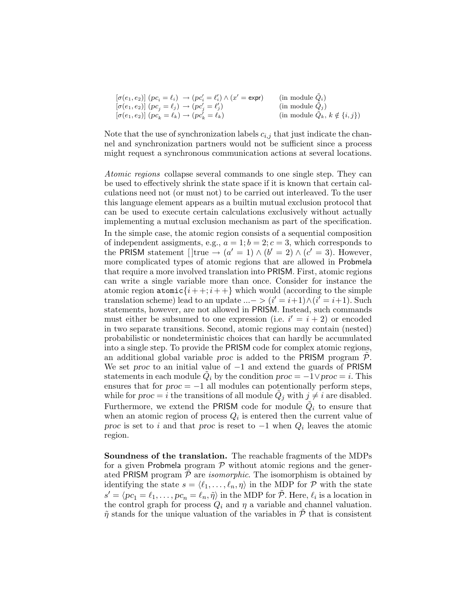| $[\sigma(e_1, e_2)] (pc_i = \ell_i) \rightarrow (pc_i' = \ell_i') \wedge (x' = \text{expr})$ | (in module $Q_i$ )                    |
|----------------------------------------------------------------------------------------------|---------------------------------------|
| $[\sigma(e_1, e_2)] (pc_i = \ell_j) \rightarrow (pc'_i = \ell'_j)$                           | (in module $Q_i$ )                    |
| $[\sigma(e_1, e_2)] (pc_k = \ell_k) \rightarrow (pc'_k = \ell_k)$                            | (in module $Q_k, k \notin \{i, j\}$ ) |

Note that the use of synchronization labels  $c_{i,j}$  that just indicate the channel and synchronization partners would not be sufficient since a process might request a synchronous communication actions at several locations.

Atomic regions collapse several commands to one single step. They can be used to effectively shrink the state space if it is known that certain calculations need not (or must not) to be carried out interleaved. To the user this language element appears as a builtin mutual exclusion protocol that can be used to execute certain calculations exclusively without actually implementing a mutual exclusion mechanism as part of the specification.

In the simple case, the atomic region consists of a sequential composition of independent assigments, e.g.,  $a = 1$ ;  $b = 2$ ;  $c = 3$ , which corresponds to the PRISM statement [ $\vert$ true  $\rightarrow$   $(a' = 1) \wedge (b' = 2) \wedge (c' = 3)$ . However, more complicated types of atomic regions that are allowed in Probmela that require a more involved translation into PRISM. First, atomic regions can write a single variable more than once. Consider for instance the atomic region  $\texttt{atomic}\{i + +; i + +\}$  which would (according to the simple translation scheme) lead to an update  $...$   $>$   $(i' = i+1) \wedge (i' = i+1)$ . Such statements, however, are not allowed in PRISM. Instead, such commands must either be subsumed to one expression (i.e.  $i' = i + 2$ ) or encoded in two separate transitions. Second, atomic regions may contain (nested) probabilistic or nondeterministic choices that can hardly be accumulated into a single step. To provide the PRISM code for complex atomic regions, an additional global variable proc is added to the PRISM program  $P$ . We set proc to an initial value of −1 and extend the guards of PRISM statements in each module  $\tilde{Q}_i$  by the condition  $proc = -1 \vee proc = i$ . This ensures that for  $proc = -1$  all modules can potentionally perform steps, while for  $proc = i$  the transitions of all module  $\tilde{Q}_j$  with  $j \neq i$  are disabled. Furthermore, we extend the PRISM code for module  $\tilde{Q}_i$  to ensure that when an atomic region of process  $Q_i$  is entered then the current value of proc is set to i and that proc is reset to  $-1$  when  $Q_i$  leaves the atomic region.

Soundness of the translation. The reachable fragments of the MDPs for a given Probmela program  $P$  without atomic regions and the generated PRISM program  $\tilde{\mathcal{P}}$  are *isomorphic*. The isomorphism is obtained by identifying the state  $s = \langle \ell_1, \ldots, \ell_n, \eta \rangle$  in the MDP for P with the state  $s' = \langle pc_1 = \ell_1, \ldots, pc_n = \ell_n, \tilde{\eta} \rangle$  in the MDP for  $\tilde{\mathcal{P}}$ . Here,  $\ell_i$  is a location in the control graph for process  $Q_i$  and  $\eta$  a variable and channel valuation.  $\tilde{\eta}$  stands for the unique valuation of the variables in  $P$  that is consistent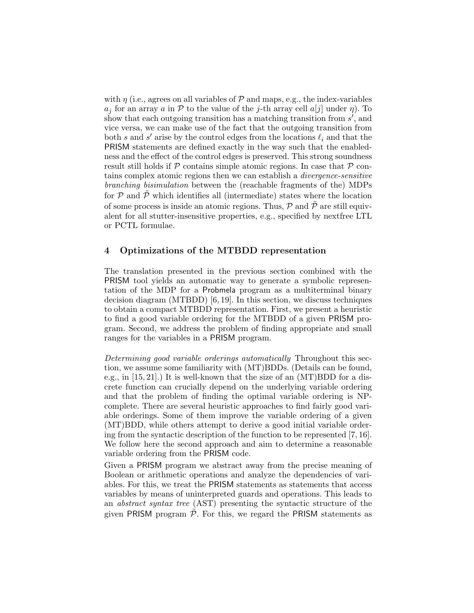with  $\eta$  (i.e., agrees on all variables of  $P$  and maps, e.g., the index-variables  $a_j$  for an array a in P to the value of the j-th array cell  $a[j]$  under  $\eta$ ). To show that each outgoing transition has a matching transition from  $s'$ , and vice versa, we can make use of the fact that the outgoing transition from both s and s' arise by the control edges from the locations  $\ell_i$  and that the PRISM statements are defined exactly in the way such that the enabledness and the effect of the control edges is preserved. This strong soundness result still holds if  $P$  contains simple atomic regions. In case that  $P$  contains complex atomic regions then we can establish a divergence-sensitive branching bisimulation between the (reachable fragments of the) MDPs for  $P$  and  $\tilde{P}$  which identifies all (intermediate) states where the location of some process is inside an atomic regions. Thus,  $\mathcal{P}$  and  $\tilde{\mathcal{P}}$  are still equivalent for all stutter-insensitive properties, e.g., specified by nextfree LTL or PCTL formulae.

# 4 Optimizations of the MTBDD representation

The translation presented in the previous section combined with the PRISM tool yields an automatic way to generate a symbolic representation of the MDP for a Probmela program as a multiterminal binary decision diagram (MTBDD) [6, 19]. In this section, we discuss techniques to obtain a compact MTBDD representation. First, we present a heuristic to find a good variable ordering for the MTBDD of a given PRISM program. Second, we address the problem of finding appropriate and small ranges for the variables in a PRISM program.

Determining good variable orderings automatically Throughout this section, we assume some familiarity with (MT)BDDs. (Details can be found, e.g., in  $[15, 21]$ .) It is well-known that the size of an  $(MT)BDD$  for a discrete function can crucially depend on the underlying variable ordering and that the problem of finding the optimal variable ordering is NPcomplete. There are several heuristic approaches to find fairly good variable orderings. Some of them improve the variable ordering of a given (MT)BDD, while others attempt to derive a good initial variable ordering from the syntactic description of the function to be represented [7, 16]. We follow here the second approach and aim to determine a reasonable variable ordering from the PRISM code.

Given a PRISM program we abstract away from the precise meaning of Boolean or arithmetic operations and analyze the dependencies of variables. For this, we treat the PRISM statements as statements that access variables by means of uninterpreted guards and operations. This leads to an abstract syntax tree (AST) presenting the syntactic structure of the given PRISM program  $\tilde{\mathcal{P}}$ . For this, we regard the PRISM statements as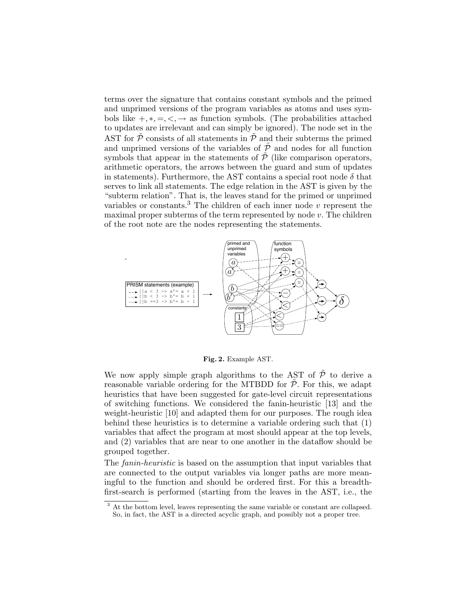terms over the signature that contains constant symbols and the primed and unprimed versions of the program variables as atoms and uses symbols like  $+, *, =, <, \rightarrow$  as function symbols. (The probabilities attached to updates are irrelevant and can simply be ignored). The node set in the AST for  $\tilde{\mathcal{P}}$  consists of all statements in  $\tilde{\mathcal{P}}$  and their subterms the primed and unprimed versions of the variables of  $\tilde{\mathcal{P}}$  and nodes for all function symbols that appear in the statements of  $\tilde{\mathcal{P}}$  (like comparison operators, arithmetic operators, the arrows between the guard and sum of updates in statements). Furthermore, the AST contains a special root node  $\delta$  that serves to link all statements. The edge relation in the AST is given by the "subterm relation". That is, the leaves stand for the primed or unprimed variables or constants.<sup>3</sup> The children of each inner node  $v$  represent the maximal proper subterms of the term represented by node  $v$ . The children of the root note are the nodes representing the statements.



Fig. 2. Example AST.

We now apply simple graph algorithms to the AST of  $\tilde{\mathcal{P}}$  to derive a reasonable variable ordering for the MTBDD for  $\tilde{\mathcal{P}}$ . For this, we adapt heuristics that have been suggested for gate-level circuit representations of switching functions. We considered the fanin-heuristic [13] and the weight-heuristic [10] and adapted them for our purposes. The rough idea behind these heuristics is to determine a variable ordering such that (1) variables that affect the program at most should appear at the top levels, and (2) variables that are near to one another in the dataflow should be grouped together.

The fanin-heuristic is based on the assumption that input variables that are connected to the output variables via longer paths are more meaningful to the function and should be ordered first. For this a breadthfirst-search is performed (starting from the leaves in the AST, i.e., the

<sup>&</sup>lt;sup>3</sup> At the bottom level, leaves representing the same variable or constant are collapsed. So, in fact, the AST is a directed acyclic graph, and possibly not a proper tree.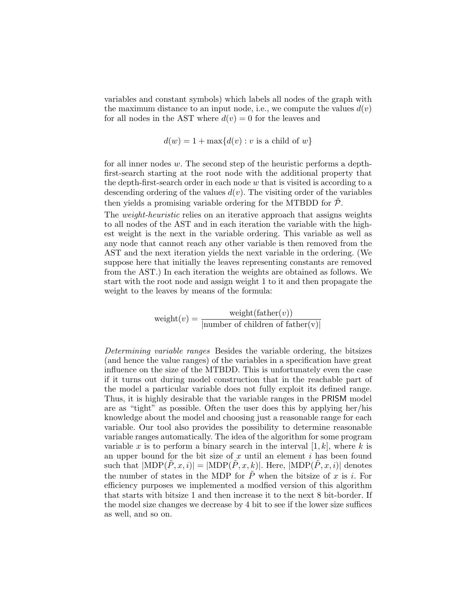variables and constant symbols) which labels all nodes of the graph with the maximum distance to an input node, i.e., we compute the values  $d(v)$ for all nodes in the AST where  $d(v) = 0$  for the leaves and

$$
d(w) = 1 + \max\{d(v) : v \text{ is a child of } w\}
$$

for all inner nodes  $w$ . The second step of the heuristic performs a depthfirst-search starting at the root node with the additional property that the depth-first-search order in each node  $w$  that is visited is according to a descending ordering of the values  $d(v)$ . The visiting order of the variables then yields a promising variable ordering for the MTBDD for  $P$ .

The weight-heuristic relies on an iterative approach that assigns weights to all nodes of the AST and in each iteration the variable with the highest weight is the next in the variable ordering. This variable as well as any node that cannot reach any other variable is then removed from the AST and the next iteration yields the next variable in the ordering. (We suppose here that initially the leaves representing constants are removed from the AST.) In each iteration the weights are obtained as follows. We start with the root node and assign weight 1 to it and then propagate the weight to the leaves by means of the formula:

$$
weight(v) = \frac{weight(father(v))}{|number\ of\ children\ of\ father(v)|}
$$

Determining variable ranges Besides the variable ordering, the bitsizes (and hence the value ranges) of the variables in a specification have great influence on the size of the MTBDD. This is unfortunately even the case if it turns out during model construction that in the reachable part of the model a particular variable does not fully exploit its defined range. Thus, it is highly desirable that the variable ranges in the PRISM model are as "tight" as possible. Often the user does this by applying her/his knowledge about the model and choosing just a reasonable range for each variable. Our tool also provides the possibility to determine reasonable variable ranges automatically. The idea of the algorithm for some program variable x is to perform a binary search in the interval  $[1, k]$ , where k is an upper bound for the bit size of  $x$  until an element  $i$  has been found such that  $|\text{MDP}(\tilde{P}, x, i)| = |\text{MDP}(\tilde{P}, x, k)|$ . Here,  $|\text{MDP}(\tilde{P}, x, i)|$  denotes the number of states in the MDP for  $\tilde{P}$  when the bitsize of x is i. For efficiency purposes we implemented a modfied version of this algorithm that starts with bitsize 1 and then increase it to the next 8 bit-border. If the model size changes we decrease by 4 bit to see if the lower size suffices as well, and so on.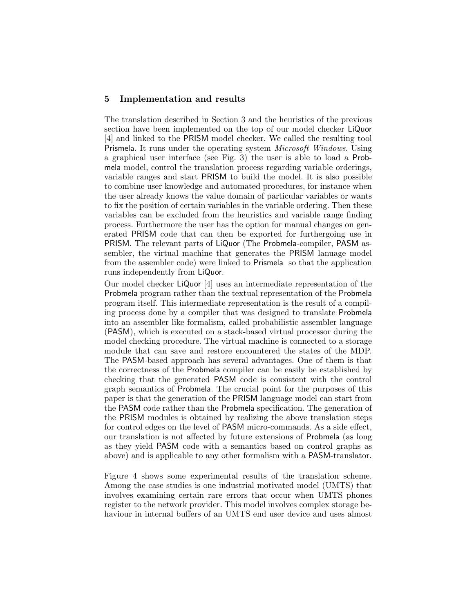## 5 Implementation and results

The translation described in Section 3 and the heuristics of the previous section have been implemented on the top of our model checker LiQuor [4] and linked to the PRISM model checker. We called the resulting tool Prismela. It runs under the operating system Microsoft Windows. Using a graphical user interface (see Fig. 3) the user is able to load a Probmela model, control the translation process regarding variable orderings, variable ranges and start PRISM to build the model. It is also possible to combine user knowledge and automated procedures, for instance when the user already knows the value domain of particular variables or wants to fix the position of certain variables in the variable ordering. Then these variables can be excluded from the heuristics and variable range finding process. Furthermore the user has the option for manual changes on generated PRISM code that can then be exported for furthergoing use in PRISM. The relevant parts of LiQuor (The Probmela-compiler, PASM assembler, the virtual machine that generates the PRISM lanuage model from the assembler code) were linked to Prismela so that the application runs independently from LiQuor.

Our model checker LiQuor [4] uses an intermediate representation of the Probmela program rather than the textual representation of the Probmela program itself. This intermediate representation is the result of a compiling process done by a compiler that was designed to translate Probmela into an assembler like formalism, called probabilistic assembler language (PASM), which is executed on a stack-based virtual processor during the model checking procedure. The virtual machine is connected to a storage module that can save and restore encountered the states of the MDP. The PASM-based approach has several advantages. One of them is that the correctness of the Probmela compiler can be easily be established by checking that the generated PASM code is consistent with the control graph semantics of Probmela. The crucial point for the purposes of this paper is that the generation of the PRISM language model can start from the PASM code rather than the Probmela specification. The generation of the PRISM modules is obtained by realizing the above translation steps for control edges on the level of PASM micro-commands. As a side effect, our translation is not affected by future extensions of Probmela (as long as they yield PASM code with a semantics based on control graphs as above) and is applicable to any other formalism with a PASM-translator.

Figure 4 shows some experimental results of the translation scheme. Among the case studies is one industrial motivated model (UMTS) that involves examining certain rare errors that occur when UMTS phones register to the network provider. This model involves complex storage behaviour in internal buffers of an UMTS end user device and uses almost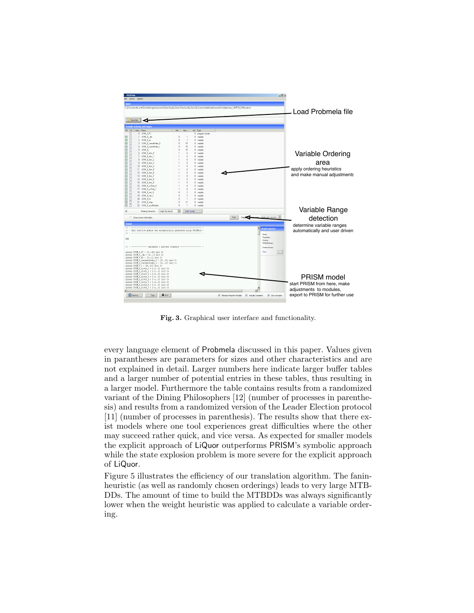

Fig. 3. Graphical user interface and functionality.

every language element of Probmela discussed in this paper. Values given in parantheses are parameters for sizes and other characteristics and are not explained in detail. Larger numbers here indicate larger buffer tables and a larger number of potential entries in these tables, thus resulting in a larger model. Furthermore the table contains results from a randomized variant of the Dining Philosophers [12] (number of processes in parenthesis) and results from a randomized version of the Leader Election protocol [11] (number of processes in parenthesis). The results show that there exist models where one tool experiences great difficulties where the other may succeed rather quick, and vice versa. As expected for smaller models the explicit approach of LiQuor outperforms PRISM's symbolic approach while the state explosion problem is more severe for the explicit approach of LiQuor.

Figure 5 illustrates the efficiency of our translation algorithm. The faninheuristic (as well as randomly chosen orderings) leads to very large MTB-DDs. The amount of time to build the MTBDDs was always significantly lower when the weight heuristic was applied to calculate a variable ordering.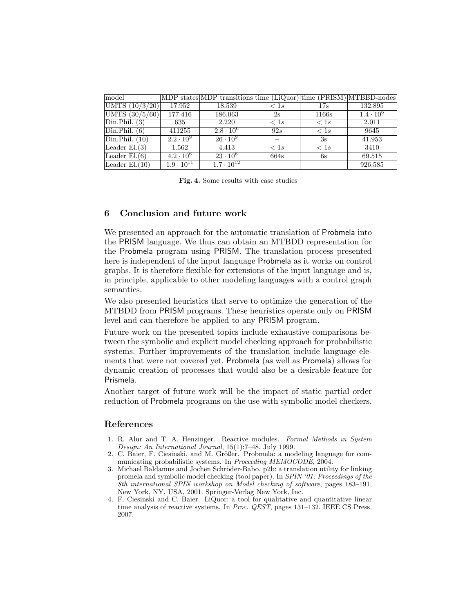| model                   |                     | MDP states $MDP$ transitions time $(LiQuor)$ time $(PRISM)$ $MTBBD$ -nodes |      |       |                    |
|-------------------------|---------------------|----------------------------------------------------------------------------|------|-------|--------------------|
| [UMTS (10/3/20)]        | 17.952              | 18.539                                                                     | < 1s | 17s   | 132.895            |
| UMTS (30/5/60)          | 177.416             | 186.063                                                                    | 2s   | 1166s | $1.4 \cdot 10^{6}$ |
| $D$ in. Phil. $(3)$     | 635                 | 2.220                                                                      | < 1s | < 1s  | 2.011              |
| $Din.Phil.$ (6)         | 411255              | $2.8 \cdot 10^6$                                                           | 92s  | < 1s  | 9645               |
| $Din.Phil.$ (10)        | $2.2 \cdot 10^9$    | $26 \cdot 10^9$                                                            |      | 3s    | 41.953             |
| Leader $El.(3)$         | 1.562               | 4.413                                                                      | < 1s | < 1s  | 3410               |
| Leader $El.(6)$         | $4.2 \cdot 10^6$    | $23 \cdot 10^6$                                                            | 664s | 6s    | 69.515             |
| Leader $\text{El.}(10)$ | $1.9 \cdot 10^{11}$ | $1.7 \cdot 10^{12}$                                                        |      |       | 926.585            |

Fig. 4. Some results with case studies

# 6 Conclusion and future work

We presented an approach for the automatic translation of Probmela into the PRISM language. We thus can obtain an MTBDD representation for the Probmela program using PRISM. The translation process presented here is independent of the input language Probmela as it works on control graphs. It is therefore flexible for extensions of the input language and is, in principle, applicable to other modeling languages with a control graph semantics.

We also presented heuristics that serve to optimize the generation of the MTBDD from PRISM programs. These heuristics operate only on PRISM level and can therefore be applied to any PRISM program.

Future work on the presented topics include exhaustive comparisons between the symbolic and explicit model checking approach for probabilistic systems. Further improvements of the translation include language elements that were not covered yet. Probmela (as well as Promela) allows for dynamic creation of processes that would also be a desirable feature for Prismela.

Another target of future work will be the impact of static partial order reduction of Probmela programs on the use with symbolic model checkers.

## References

- 1. R. Alur and T. A. Henzinger. Reactive modules. Formal Methods in System Design: An International Journal, 15(1):7–48, July 1999.
- 2. C. Baier, F. Ciesinski, and M. Größer. Probmela: a modeling language for communicating probabilistic systems. In Proceeding MEMOCODE, 2004.
- 3. Michael Baldamus and Jochen Schröder-Babo. p2b: a translation utility for linking promela and symbolic model checking (tool paper). In SPIN '01: Proceedings of the 8th international SPIN workshop on Model checking of software, pages 183–191, New York, NY, USA, 2001. Springer-Verlag New York, Inc.
- 4. F. Ciesinski and C. Baier. LiQuor: a tool for qualitative and quantitative linear time analysis of reactive systems. In Proc. QEST, pages 131-132. IEEE CS Press, 2007.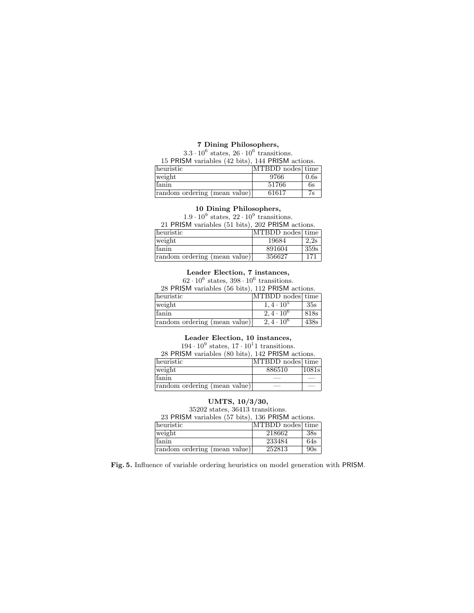#### 7 Dining Philosophers,

#### $3.3 \cdot 10^6$  states,  $26 \cdot 10^6$  transitions.

15 PRISM variables (42 bits), 144 PRISM actions.

|                              | -------------------- |      |
|------------------------------|----------------------|------|
| <i>heuristic</i>             | MTBDD nodes  time    |      |
| weight                       | 9766                 | 0.6s |
| lfanin                       | 51766                | 6s   |
| random ordering (mean value) | 61617                |      |

#### 10 Dining Philosophers,

 $1.9 \cdot 10^9$  states,  $22 \cdot 10^9$  transitions.

21 PRISM variables (51 bits), 202 PRISM actions.

| heuristic                    | MTBDD nodes time |      |
|------------------------------|------------------|------|
| weight                       | 19684            | 2.2s |
| lfanin                       | 891604           | 359s |
| random ordering (mean value) | 356627           | 171  |

#### Leader Election, 7 instances,

 $62 \cdot 10^6$  states,  $398 \cdot 10^6$  transitions.

| 28 PRISM variables (56 bits), 112 PRISM actions. |                          |                  |
|--------------------------------------------------|--------------------------|------------------|
| heuristic                                        | MTBDD nodes time         |                  |
| weight                                           | $1, 4 \cdot 10^5$        | 35s              |
| lfanin                                           | $\sqrt{2, 4 \cdot 10^6}$ | 818 <sub>s</sub> |
| random ordering (mean value)                     | $2, 4 \cdot 10^6$        | 438s             |

## Leader Election, 10 instances,

 $194 \cdot 10^9$  states,  $17 \cdot 10^11$  transitions.

28 PRISM variables (80 bits), 142 PRISM actions.

| heuristic                    | MTBDD nodes time |       |
|------------------------------|------------------|-------|
| weight                       | 886510           | 1081s |
| fanin                        |                  |       |
| random ordering (mean value) |                  |       |

#### UMTS, 10/3/30,

35202 states, 36413 transitions. 23 PRISM variables (57 bits), 136 PRISM actions.

| $\Box$                       |                  |     |
|------------------------------|------------------|-----|
| <i>heuristic</i>             | MTBDD nodes time |     |
| weight                       | 218662           | 38s |
| fanin                        | 233484           | 64s |
| random ordering (mean value) | 252813           | 90s |

Fig. 5. Influence of variable ordering heuristics on model generation with PRISM.